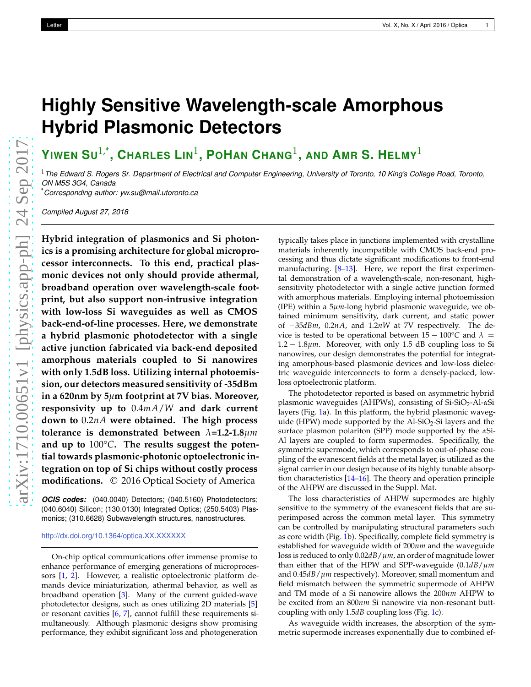## <span id="page-0-0"></span>**Highly Sensitive Wavelength-scale Amorphous Hybrid Plasmonic Detectors**

 $Y$ IWEN  $SU^{1,*}$ , CHARLES  $LIN^1$ , POHAN CHANG<sup>1</sup>, AND AMR S. HELMY $^1$ 

<sup>1</sup>*The Edward S. Rogers Sr. Department of Electrical and Computer Engineering, University of Toronto, 10 King's College Road, Toronto, ON M5S 3G4, Canada*

\**Corresponding author: yw.su@mail.utoronto.ca*

*Compiled August 27, 2018*

**Hybrid integration of plasmonics and Si photonics is a promising architecture for global microprocessor interconnects. To this end, practical plasmonic devices not only should provide athermal, broadband operation over wavelength-scale footprint, but also support non-intrusive integration with low-loss Si waveguides as well as CMOS back-end-of-line processes. Here, we demonstrate a hybrid plasmonic photodetector with a single active junction fabricated via back-end deposited amorphous materials coupled to Si nanowires with only 1.5dB loss. Utilizing internal photoemission, our detectors measured sensitivity of -35dBm in a 620nm by 5***µ***m footprint at 7V bias. Moreover, responsivity up to** 0.4*mA*/*W* **and dark current down to** 0.2*nA* **were obtained. The high process tolerance is demonstrated between** *λ***=1.2-1.8***µm* **and up to** 100°*C***. The results suggest the potential towards plasmonic-photonic optoelectronic integration on top of Si chips without costly process modifications.** © 2016 Optical Society of America

*OCIS codes:* (040.0040) Detectors; (040.5160) Photodetectors; (040.6040) Silicon; (130.0130) Integrated Optics; (250.5403) Plasmonics; (310.6628) Subwavelength structures, nanostructures.

## <http://dx.doi.org/10.1364/optica.XX.XXXXXX>

On-chip optical communications offer immense promise to enhance performance of emerging generations of microprocessors [\[1](#page-3-0), [2](#page-3-1)]. However, a realistic optoelectronic platform demands device miniaturization, athermal behavior, as well as broadband operation [\[3](#page-3-2)]. Many of the current guided-wave photodetector designs, such as ones utilizing 2D materials [\[5](#page-3-3)] or resonant cavities [\[6](#page-3-4), [7\]](#page-3-5), cannot fulfill these requirements simultaneously. Although plasmonic designs show promising performance, they exhibit significant loss and photogeneration

typically takes place in junctions implemented with crystalline materials inherently incompatible with CMOS back-end processing and thus dictate significant modifications to front-end manufacturing. [\[8](#page-3-6)[–13](#page-3-7)]. Here, we report the first experimental demonstration of a wavelength-scale, non-resonant, highsensitivity photodetector with a single active junction formed with amorphous materials. Employing internal photoemission (IPE) within a 5*µm*-long hybrid plasmonic waveguide, we obtained minimum sensitivity, dark current, and static power of −35*dBm*, 0.2*nA*, and 1.2*nW* at 7V respectively. The device is tested to be operational between  $15 - 100^{\circ}$ C and  $\lambda =$ 1.2 − 1.8*µm*. Moreover, with only 1.5 dB coupling loss to Si nanowires, our design demonstrates the potential for integrating amorphous-based plasmonic devices and low-loss dielectric waveguide interconnects to form a densely-packed, lowloss optoelectronic platform.

The photodetector reported is based on asymmetric hybrid plasmonic waveguides (AHPWs), consisting of Si-SiO<sub>2</sub>-Al-*α*Si layers (Fig. [1a](#page-1-0)). In this platform, the hybrid plasmonic waveguide (HPW) mode supported by the  $AI-SiO<sub>2</sub>-Si$  layers and the surface plasmon polariton (SPP) mode supported by the *α*Si-Al layers are coupled to form supermodes. Specifically, the symmetric supermode, which corresponds to out-of-phase coupling of the evanescent fields at the metal layer, is utilized as the signal carrier in our design because of its highly tunable absorption characteristics [\[14](#page-3-8)[–16\]](#page-3-9). The theory and operation principle of the AHPW are discussed in the Suppl. Mat.

The loss characteristics of AHPW supermodes are highly sensitive to the symmetry of the evanescent fields that are superimposed across the common metal layer. This symmetry can be controlled by manipulating structural parameters such as core width (Fig. [1b](#page-1-0)). Specifically, complete field symmetry is established for waveguide width of 200*nm* and the waveguide loss is reduced to only 0.02*dB*/*µm*, an order of magnitude lower than either that of the HPW and SPP-waveguide (0.1*dB*/*µm* and 0.45*dB*/*µm* respectively). Moreover, small momentum and field mismatch between the symmetric supermode of AHPW and TM mode of a Si nanowire allows the 200*nm* AHPW to be excited from an 800*nm* Si nanowire via non-resonant buttcoupling with only 1.5*dB* coupling loss (Fig. [1c](#page-1-0)).

As waveguide width increases, the absorption of the symmetric supermode increases exponentially due to combined ef-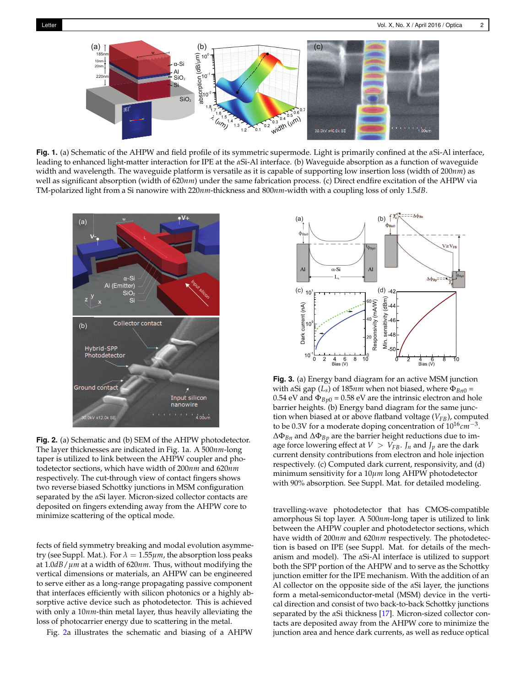<span id="page-1-0"></span>

**Fig. 1.** (a) Schematic of the AHPW and field profile of its symmetric supermode. Light is primarily confined at the *α*Si-Al interface, leading to enhanced light-matter interaction for IPE at the *α*Si-Al interface. (b) Waveguide absorption as a function of waveguide width and wavelength. The waveguide platform is versatile as it is capable of supporting low insertion loss (width of 200*nm*) as well as significant absorption (width of 620*nm*) under the same fabrication process. (c) Direct endfire excitation of the AHPW via TM-polarized light from a Si nanowire with 220*nm*-thickness and 800*nm*-width with a coupling loss of only 1.5*dB*.

<span id="page-1-1"></span>

**Fig. 2.** (a) Schematic and (b) SEM of the AHPW photodetector. The layer thicknesses are indicated in Fig. 1a. A 500*nm*-long taper is utilized to link between the AHPW coupler and photodetector sections, which have width of 200*nm* and 620*nm* respectively. The cut-through view of contact fingers shows two reverse biased Schottky junctions in MSM configuration separated by the *α*Si layer. Micron-sized collector contacts are deposited on fingers extending away from the AHPW core to minimize scattering of the optical mode.

fects of field symmetry breaking and modal evolution asymmetry (see Suppl. Mat.). For  $\lambda = 1.55 \mu m$ , the absorption loss peaks at 1.0*dB*/*µm* at a width of 620*nm*. Thus, without modifying the vertical dimensions or materials, an AHPW can be engineered to serve either as a long-range propagating passive component that interfaces efficiently with silicon photonics or a highly absorptive active device such as photodetector. This is achieved with only a 10*nm*-thin metal layer, thus heavily alleviating the loss of photocarrier energy due to scattering in the metal.

Fig. [2a](#page-1-1) illustrates the schematic and biasing of a AHPW

<span id="page-1-2"></span>

**Fig. 3.** (a) Energy band diagram for an active MSM junction with *α*Si gap (*Ls*) of 185*nm* when not biased, where Φ*Bn*<sup>0</sup> = 0.54 eV and  $\Phi_{Bv0}$  = 0.58 eV are the intrinsic electron and hole barrier heights. (b) Energy band diagram for the same junction when biased at or above flatband voltage (*VFB*), computed to be 0.3V for a moderate doping concentration of 1016*cm*−<sup>3</sup> . ∆Φ*Bn* and ∆Φ*Bp* are the barrier height reductions due to image force lowering effect at  $V > V_{FB}$ . *J<sub>n</sub>* and *J<sub>p</sub>* are the dark current density contributions from electron and hole injection respectively. (c) Computed dark current, responsivity, and (d) minimum sensitivity for a 10*µm* long AHPW photodetector with 90% absorption. See Suppl. Mat. for detailed modeling.

travelling-wave photodetector that has CMOS-compatible amorphous Si top layer. A 500*nm*-long taper is utilized to link between the AHPW coupler and photodetector sections, which have width of 200*nm* and 620*nm* respectively. The photodetection is based on IPE (see Suppl. Mat. for details of the mechanism and model). The *α*Si-Al interface is utilized to support both the SPP portion of the AHPW and to serve as the Schottky junction emitter for the IPE mechanism. With the addition of an Al collector on the opposite side of the *α*Si layer, the junctions form a metal-semiconductor-metal (MSM) device in the vertical direction and consist of two back-to-back Schottky junctions separated by the *α*Si thickness [\[17](#page-3-10)]. Micron-sized collector contacts are deposited away from the AHPW core to minimize the junction area and hence dark currents, as well as reduce optical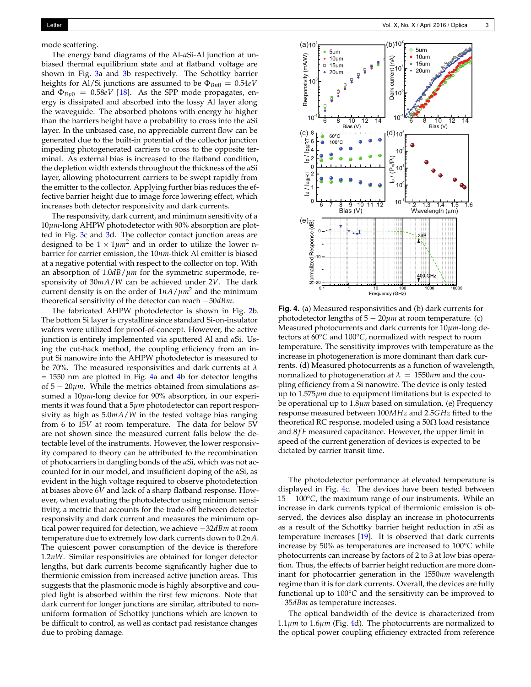mode scattering.

The energy band diagrams of the Al-*α*Si-Al junction at unbiased thermal equilibrium state and at flatband voltage are shown in Fig. [3a](#page-1-2) and [3b](#page-1-2) respectively. The Schottky barrier heights for Al/Si junctions are assumed to be  $\Phi_{Bn0} = 0.54eV$ and  $\Phi_{Bp0} = 0.58eV$  [\[18\]](#page-3-11). As the SPP mode propagates, energy is dissipated and absorbed into the lossy Al layer along the waveguide. The absorbed photons with energy h*ν* higher than the barriers height have a probability to cross into the *α*Si layer. In the unbiased case, no appreciable current flow can be generated due to the built-in potential of the collector junction impeding photogenerated carriers to cross to the opposite terminal. As external bias is increased to the flatband condition, the depletion width extends throughout the thickness of the *α*Si layer, allowing photocurrent carriers to be swept rapidly from the emitter to the collector. Applying further bias reduces the effective barrier height due to image force lowering effect, which increases both detector responsivity and dark currents.

The responsivity, dark current, and minimum sensitivity of a 10*µm*-long AHPW photodetector with 90% absorption are plotted in Fig. [3c](#page-1-2) and [3d](#page-1-2). The collector contact junction areas are designed to be  $1 \times 1 \mu m^2$  and in order to utilize the lower nbarrier for carrier emission, the 10*nm*-thick Al emitter is biased at a negative potential with respect to the collector on top. With an absorption of 1.0*dB*/*µm* for the symmetric supermode, responsivity of 30*mA*/*W* can be achieved under 2*V*. The dark current density is on the order of  $1nA/\mu m^2$  and the minimum theoretical sensitivity of the detector can reach −50*dBm*.

The fabricated AHPW photodetector is shown in Fig. [2b](#page-1-1). The bottom Si layer is crystalline since standard Si-on-insulator wafers were utilized for proof-of-concept. However, the active junction is entirely implemented via sputtered Al and *α*Si. Using the cut-back method, the coupling efficiency from an input Si nanowire into the AHPW photodetector is measured to be 70%. The measured responsivities and dark currents at *λ* = 1550 nm are plotted in Fig. [4a](#page-2-0) and [4b](#page-2-0) for detector lengths of 5 − 20*µm*. While the metrics obtained from simulations assumed a 10*µm*-long device for 90% absorption, in our experiments it was found that a 5*µm* photodetector can report responsivity as high as 5.0*mA*/*W* in the tested voltage bias ranging from 6 to 15*V* at room temperature. The data for below 5V are not shown since the measured current falls below the detectable level of the instruments. However, the lower responsivity compared to theory can be attributed to the recombination of photocarriers in dangling bonds of the *α*Si, which was not accounted for in our model, and insufficient doping of the *α*Si, as evident in the high voltage required to observe photodetection at biases above 6*V* and lack of a sharp flatband response. However, when evaluating the photodetector using minimum sensitivity, a metric that accounts for the trade-off between detector responsivity and dark current and measures the minimum optical power required for detection, we achieve −32*dBm* at room temperature due to extremely low dark currents down to 0.2*nA*. The quiescent power consumption of the device is therefore 1.2*nW*. Similar responsitivies are obtained for longer detector lengths, but dark currents become significantly higher due to thermionic emission from increased active junction areas. This suggests that the plasmonic mode is highly absorptive and coupled light is absorbed within the first few microns. Note that dark current for longer junctions are similar, attributed to nonuniform formation of Schottky junctions which are known to be difficult to control, as well as contact pad resistance changes due to probing damage.

<span id="page-2-0"></span>

**Fig. 4.** (a) Measured responsivities and (b) dark currents for photodetector lengths of 5 − 20*µm* at room temperature. (c) Measured photocurrents and dark currents for 10*µm*-long detectors at 60°*C* and 100°*C*, normalized with respect to room temperature. The sensitivity improves with temperature as the increase in photogeneration is more dominant than dark currents. (d) Measured photocurrents as a function of wavelength, normalized to photogeneration at  $\lambda = 1550$ *nm* and the coupling efficiency from a Si nanowire. The device is only tested up to 1.575*µm* due to equipment limitations but is expected to be operational up to 1.8*µm* based on simulation. (e) Frequency response measured between 100*MHz* and 2.5*GHz* fitted to the theoretical RC response, modeled using a  $50\Omega$  load resistance and 8*fF* measured capacitance. However, the upper limit in speed of the current generation of devices is expected to be dictated by carrier transit time.

The photodetector performance at elevated temperature is displayed in Fig. [4c](#page-2-0). The devices have been tested between 15 − 100°*C*, the maximum range of our instruments. While an increase in dark currents typical of thermionic emission is observed, the devices also display an increase in photocurrents as a result of the Schottky barrier height reduction in *α*Si as temperature increases [\[19\]](#page-3-12). It is observed that dark currents increase by 50% as temperatures are increased to 100°*C* while photocurrents can increase by factors of 2 to 3 at low bias operation. Thus, the effects of barrier height reduction are more dominant for photocarrier generation in the 1550*nm* wavelength regime than it is for dark currents. Overall, the devices are fully functional up to 100°*C* and the sensitivity can be improved to −35*dBm* as temperature increases.

The optical bandwidth of the device is characterized from  $1.1\mu$ *m* to  $1.6\mu$ *m* (Fig. [4d](#page-2-0)). The photocurrents are normalized to the optical power coupling efficiency extracted from reference